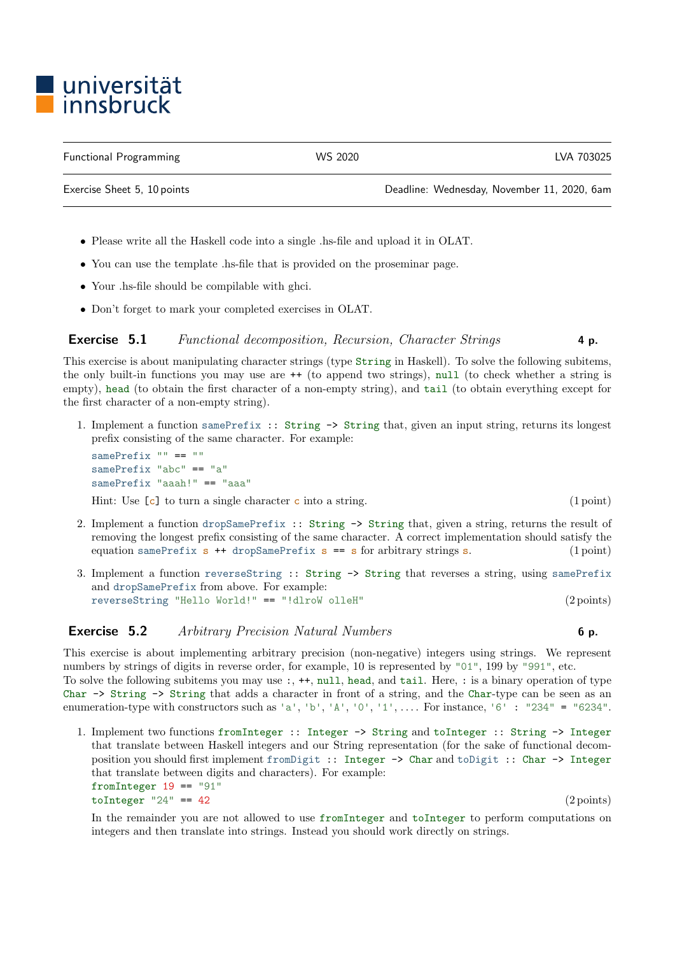## ■ universität<br>■ innsbruck

Exercise Sheet 5, 10 points Deadline: Wednesday, November 11, 2020, 6am

- Please write all the Haskell code into a single .hs-file and upload it in OLAT.
- You can use the template .hs-file that is provided on the proseminar page.
- Your .hs-file should be compilable with ghci.
- Don't forget to mark your completed exercises in OLAT.

## Exercise 5.1 Functional decomposition, Recursion, Character Strings 4 p.

This exercise is about manipulating character strings (type String in Haskell). To solve the following subitems, the only built-in functions you may use are ++ (to append two strings), null (to check whether a string is empty), head (to obtain the first character of a non-empty string), and tail (to obtain everything except for the first character of a non-empty string).

1. Implement a function samePrefix :: String -> String that, given an input string, returns its longest prefix consisting of the same character. For example:

samePrefix "" == "" samePrefix "abc" == "a" samePrefix "aaah!" == "aaa"

Hint: Use  $[c]$  to turn a single character c into a string. (1 point)

- 2. Implement a function dropSamePrefix :: String -> String that, given a string, returns the result of removing the longest prefix consisting of the same character. A correct implementation should satisfy the equation samePrefix  $s$  ++ dropSamePrefix  $s$  ==  $s$  for arbitrary strings  $s$ . (1 point)
- 3. Implement a function reverseString :: String -> String that reverses a string, using samePrefix and dropSamePrefix from above. For example: reverseString "Hello World!" == "!dlroW olleH" (2 points)

## **Exercise 5.2** Arbitrary Precision Natural Numbers 6 p.

This exercise is about implementing arbitrary precision (non-negative) integers using strings. We represent numbers by strings of digits in reverse order, for example, 10 is represented by "01", 199 by "991", etc. To solve the following subitems you may use :, ++, null, head, and tail. Here, : is a binary operation of type Char -> String -> String that adds a character in front of a string, and the Char-type can be seen as an enumeration-type with constructors such as 'a', 'b', 'A', '0', '1', .... For instance, '6' : "234" = "6234".

1. Implement two functions fromInteger :: Integer -> String and toInteger :: String -> Integer that translate between Haskell integers and our String representation (for the sake of functional decomposition you should first implement fromDigit :: Integer -> Char and toDigit :: Char -> Integer that translate between digits and characters). For example: fromInteger  $19 == 91$ "  $toInteger$  "24" == 42 (2 points)

In the remainder you are not allowed to use fromInteger and toInteger to perform computations on integers and then translate into strings. Instead you should work directly on strings.

Functional Programming WS 2020 LVA 703025